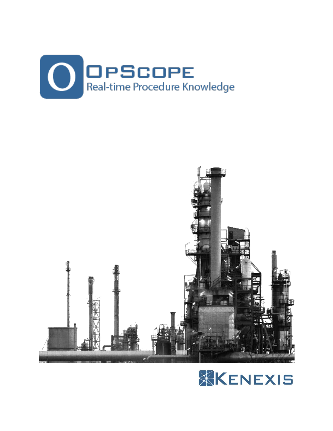



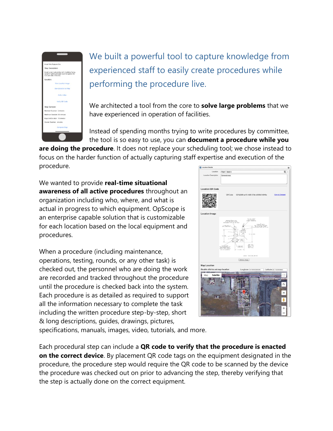

We built a powerful tool to capture knowledge from experienced staff to easily create procedures while performing the procedure live.

We architected a tool from the core to **solve large problems** that we have experienced in operation of facilities.

Instead of spending months trying to write procedures by committee, the tool is so easy to use, you can **document a procedure while you** 

**are doing the procedure**. It does not replace your scheduling tool; we chose instead to focus on the harder function of actually capturing staff expertise and execution of the procedure.

We wanted to provide **real-time situational awareness of all active procedures** throughout an organization including who, where, and what is actual in progress to which equipment. OpScope is an enterprise capable solution that is customizable for each location based on the local equipment and procedures.

When a procedure (including maintenance, operations, testing, rounds, or any other task) is checked out, the personnel who are doing the work are recorded and tracked throughout the procedure until the procedure is checked back into the system. Each procedure is as detailed as required to support all the information necessary to complete the task including the written procedure step-by-step, short & long descriptions, guides, drawings, pictures,



specifications, manuals, images, video, tutorials, and more.

Each procedural step can include a **QR code to verify that the procedure is enacted on the correct device**. By placement QR code tags on the equipment designated in the procedure, the procedure step would require the QR code to be scanned by the device the procedure was checked out on prior to advancing the step, thereby verifying that the step is actually done on the correct equipment.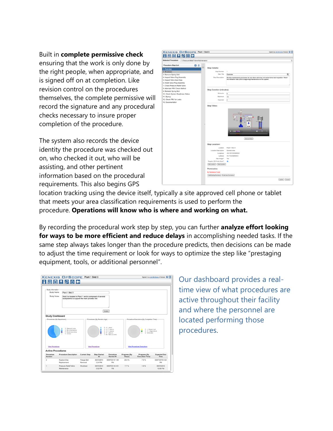Built in **complete permissive check**

ensuring that the work is only done by the right people, when appropriate, and is signed off on at completion. Like revision control on the procedures themselves, the complete permissive will record the signature and any procedural checks necessary to insure proper completion of the procedure.

The system also records the device identity the procedure was checked out on, who checked it out, who will be assisting, and other pertinent information based on the procedural requirements. This also begins GPS

| <b>KENEXIS OPSCOPE Plant 1 Skid 3</b>                             |                                            | Signed in as Jim McGlone of Kenexis @ 3                                                      |
|-------------------------------------------------------------------|--------------------------------------------|----------------------------------------------------------------------------------------------|
| <b>BBP</b> <sup>O</sup> O←<br>н                                   |                                            |                                                                                              |
| <b>Selected Procedure</b><br>1: Pressure Relief Valve Maintenance |                                            | ٠                                                                                            |
| <b>Procedure Step List</b>                                        |                                            |                                                                                              |
| 日白                                                                | ×<br><b>Step Details:</b>                  |                                                                                              |
| 1. Overview<br>2. Shutdown                                        | Step Number                                | 1                                                                                            |
| 3. Remove Spring Bolt                                             | Step Title                                 | Overview<br>蜀门                                                                               |
| 4. Inspect Valve Plug Assembly                                    | Step Description                           | Routine maintenance procedure for use when valve has not vented since last inspection. Watch |
| 5. Inspect Valve Seat Area                                        |                                            | the refresher video prior to beginning maintenance on this system.                           |
| 6. Install Valve Plug Assembly                                    |                                            |                                                                                              |
| 7. Check Pressure Relief Valve                                    |                                            |                                                                                              |
| 8. Alternate PRV Check Method                                     | Step Duration (minutes):                   |                                                                                              |
| 9. Reinstall Spring Bolt<br>10. Check System Readiness Status     | Minimuim                                   | s                                                                                            |
| 11. Startup                                                       | Maximum                                    | 10                                                                                           |
| 12. Check PRV for Leaks                                           | Expected                                   | $\overline{z}$                                                                               |
| 13. Documentation                                                 |                                            |                                                                                              |
|                                                                   | Step Video:                                |                                                                                              |
|                                                                   |                                            | m<br>0007030<br>$\bullet$<br>Remove Video                                                    |
|                                                                   | <b>Step Location:</b>                      |                                                                                              |
|                                                                   | Location                                   | Plant 1 Skid 3                                                                               |
|                                                                   | Location Description                       | General area                                                                                 |
|                                                                   | Longitude<br>Latitude                      | -84.1251520343042<br>40.715345845643                                                         |
|                                                                   | Has Image?                                 | Yes                                                                                          |
|                                                                   | Require QR Code Scan?                      | $\overline{a}$                                                                               |
|                                                                   | Edit Location   Clear Location             |                                                                                              |
|                                                                   | Permissive:                                |                                                                                              |
|                                                                   | <b>No Permissive Found</b>                 |                                                                                              |
|                                                                   | Add Existing Permissive Add New Permissive |                                                                                              |
|                                                                   |                                            |                                                                                              |
|                                                                   |                                            | Update Cancel                                                                                |

location tracking using the device itself, typically a site approved cell phone or tablet that meets your area classification requirements is used to perform the procedure. **Operations will know who is where and working on what.**

By recording the procedural work step by step, you can further **analyze effort looking for ways to be more efficient and reduce delays** in accomplishing needed tasks. If the same step always takes longer than the procedure predicts, then decisions can be made to adjust the time requirement or look for ways to optimize the step like "prestaging equipment, tools, or additional personnel".

|                                                        | <b>KENEXIS OPSCOPE Plant 1 Skid 3</b>                                         |                                                                                                         |                              |                                                                                |                                   |                                                        | Signed in as Jim McGlone of Kenexis @ 3 |  |  |
|--------------------------------------------------------|-------------------------------------------------------------------------------|---------------------------------------------------------------------------------------------------------|------------------------------|--------------------------------------------------------------------------------|-----------------------------------|--------------------------------------------------------|-----------------------------------------|--|--|
|                                                        | $\mathbf{H}$ $\mathbf{B}$ $\mathbf{B}$ $\mathbf{H}$ $\mathbf{B}$ $\mathbf{B}$ |                                                                                                         |                              |                                                                                |                                   |                                                        |                                         |  |  |
|                                                        |                                                                               |                                                                                                         |                              |                                                                                |                                   |                                                        |                                         |  |  |
| Study Information                                      |                                                                               |                                                                                                         |                              |                                                                                |                                   |                                                        |                                         |  |  |
| Study Name                                             | Plant 1 Skid 3                                                                |                                                                                                         |                              |                                                                                |                                   |                                                        |                                         |  |  |
| <b>Study Notes</b>                                     |                                                                               | Skid 3 is located in Plant 1 and is composed of several<br>subsystems to support the main process line. |                              |                                                                                |                                   |                                                        |                                         |  |  |
|                                                        |                                                                               |                                                                                                         |                              | Update                                                                         |                                   |                                                        |                                         |  |  |
| <b>Study Dashboard</b>                                 |                                                                               |                                                                                                         |                              |                                                                                |                                   |                                                        |                                         |  |  |
| Procedures (By Department)                             |                                                                               |                                                                                                         | Procedures (By Revision Age) |                                                                                |                                   | Procedure Executions (By Completion Time)              |                                         |  |  |
|                                                        | 3 Operations<br>4 Maintenance<br>0 Engineering<br>0 Other<br>۰                |                                                                                                         |                              | $0 < l$ vear<br>$0 1-3$ years<br>$0.3-5$ years<br>0 5+ years<br>7 No Revisions |                                   | $0$ > Expected<br>$0 \leq$ Expected<br>2 Unknown<br>ä. |                                         |  |  |
|                                                        |                                                                               |                                                                                                         | <b>View Procedures</b>       |                                                                                | <b>View Procedures Executions</b> |                                                        |                                         |  |  |
| View Procedures                                        |                                                                               |                                                                                                         |                              |                                                                                |                                   |                                                        |                                         |  |  |
|                                                        |                                                                               |                                                                                                         |                              |                                                                                |                                   |                                                        |                                         |  |  |
| <b>Active Procedures</b><br>Procedure<br><b>Number</b> | <b>Procedure Description</b>                                                  | <b>Current Step</b>                                                                                     | <b>Step Started</b><br>At    | Procedure<br><b>Started At</b>                                                 | Progress (By<br>Steps)            | Progress (By<br><b>Execution Time)</b>                 | <b>Expected End</b><br>Time             |  |  |
| $\overline{2}$                                         | <b>Rupture Disc</b><br>Replacement                                            | Flange Bolt<br>Removal                                                                                  | 08/07/2019<br>3:24 PM        | 08/07/2019 1:04<br>PM                                                          | 20.0%                             | 7.9%                                                   | 08/07/2019 4:52<br>PM                   |  |  |

Our dashboard provides a realtime view of what procedures are active throughout their facility and where the personnel are located performing those procedures.